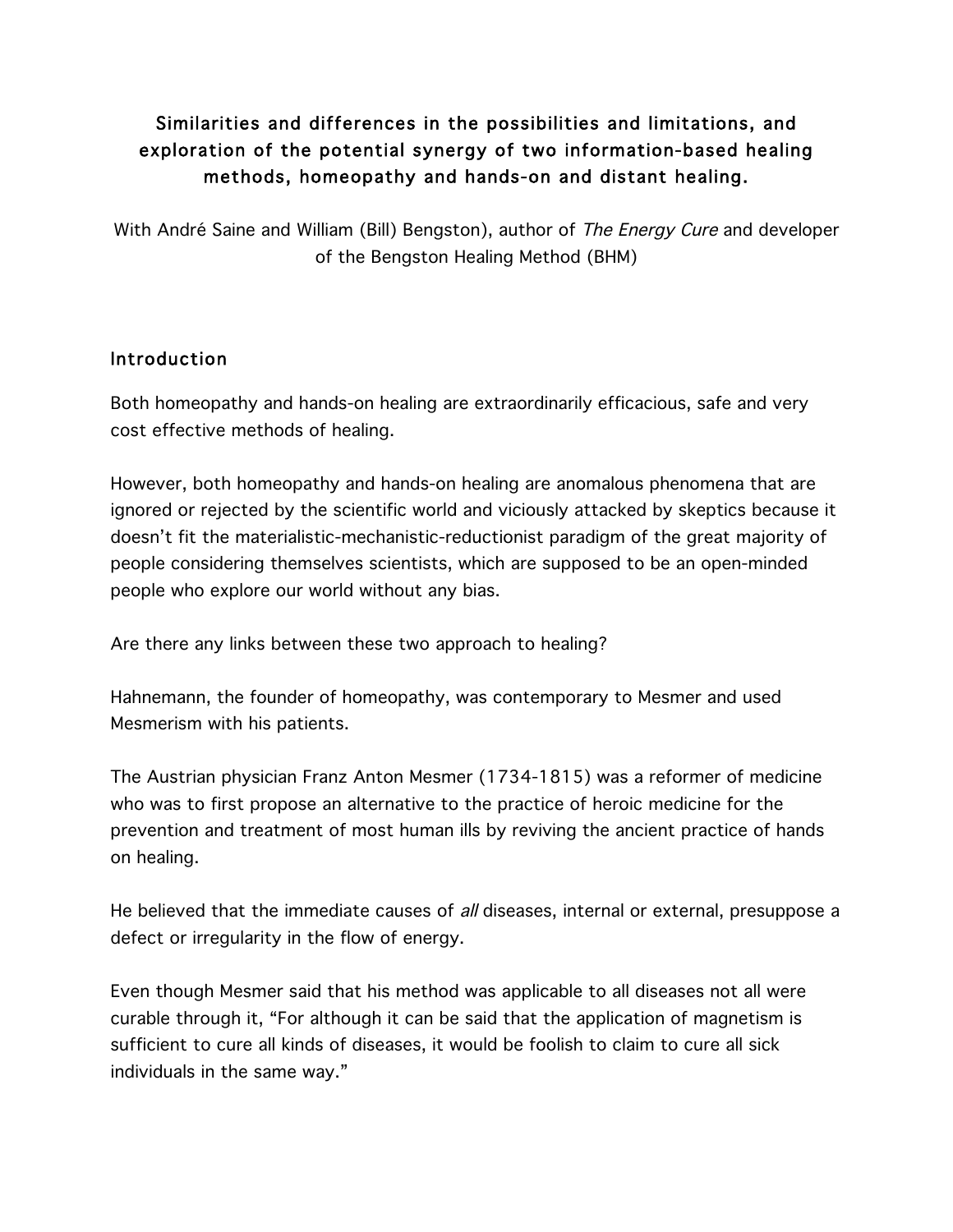# Similarities and differences in the possibilities and limitations, and exploration of the potential synergy of two information-based healing methods, homeopathy and hands-on and distant healing.

With André Saine and William (Bill) Bengston), author of The Energy Cure and developer of the Bengston Healing Method (BHM)

# **Introduction**

Both homeopathy and hands-on healing are extraordinarily efficacious, safe and very cost effective methods of healing.

However, both homeopathy and hands-on healing are anomalous phenomena that are ignored or rejected by the scientific world and viciously attacked by skeptics because it doesn't fit the materialistic-mechanistic-reductionist paradigm of the great majority of people considering themselves scientists, which are supposed to be an open-minded people who explore our world without any bias.

Are there any links between these two approach to healing?

Hahnemann, the founder of homeopathy, was contemporary to Mesmer and used Mesmerism with his patients.

The Austrian physician Franz Anton Mesmer (1734-1815) was a reformer of medicine who was to first propose an alternative to the practice of heroic medicine for the prevention and treatment of most human ills by reviving the ancient practice of hands on healing.

He believed that the immediate causes of *all* diseases, internal or external, presuppose a defect or irregularity in the flow of energy.

Even though Mesmer said that his method was applicable to all diseases not all were curable through it, "For although it can be said that the application of magnetism is sufficient to cure all kinds of diseases, it would be foolish to claim to cure all sick individuals in the same way."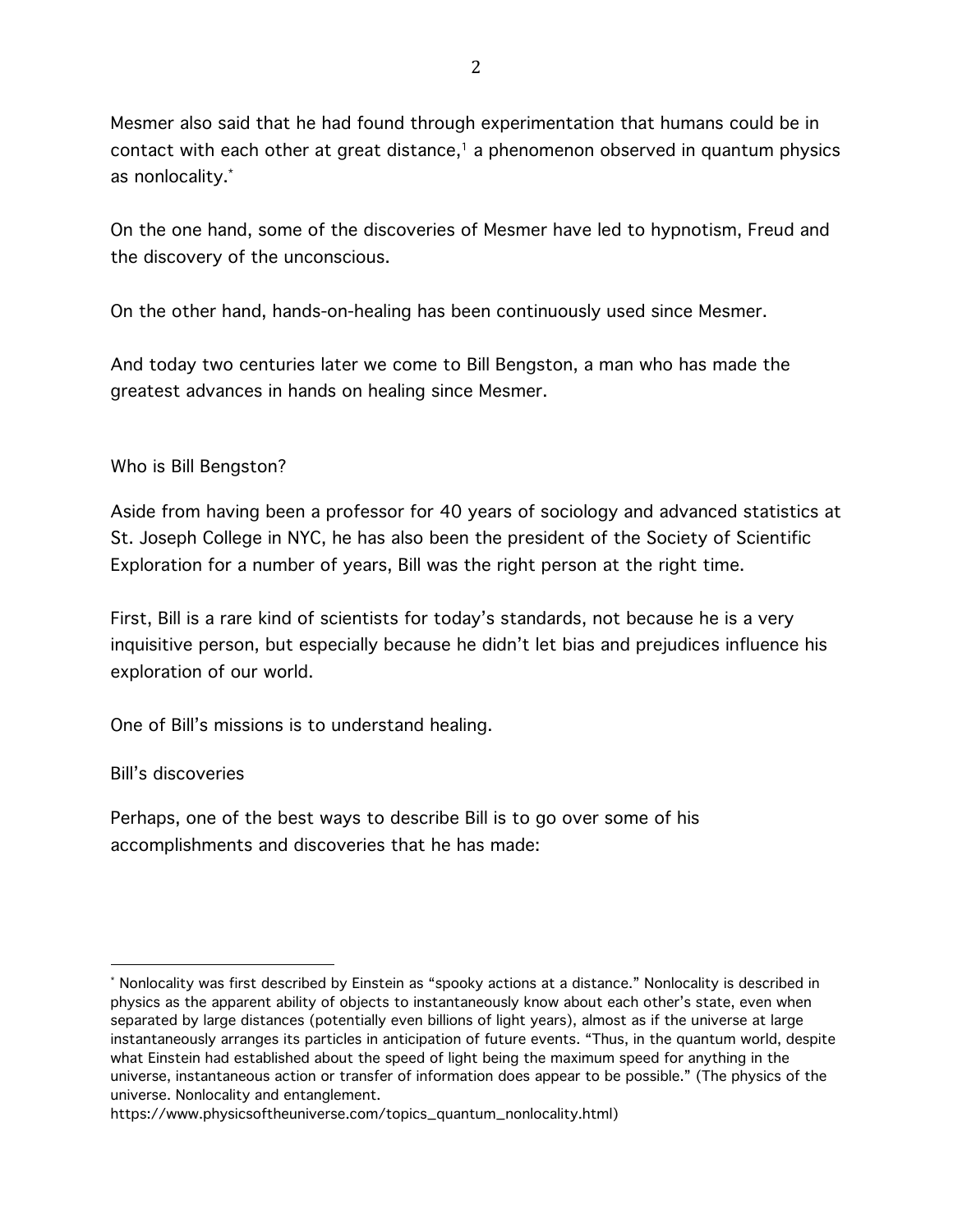Mesmer also said that he had found through experimentation that humans could be in contact with each other at great distance, <sup>1</sup> a phenomenon observed in quantum physics as nonlocality.\*

On the one hand, some of the discoveries of Mesmer have led to hypnotism, Freud and the discovery of the unconscious.

On the other hand, hands-on-healing has been continuously used since Mesmer.

And today two centuries later we come to Bill Bengston, a man who has made the greatest advances in hands on healing since Mesmer.

Who is Bill Bengston?

Aside from having been a professor for 40 years of sociology and advanced statistics at St. Joseph College in NYC, he has also been the president of the Society of Scientific Exploration for a number of years, Bill was the right person at the right time.

First, Bill is a rare kind of scientists for today's standards, not because he is a very inquisitive person, but especially because he didn't let bias and prejudices influence his exploration of our world.

One of Bill's missions is to understand healing.

#### Bill's discoveries

 

Perhaps, one of the best ways to describe Bill is to go over some of his accomplishments and discoveries that he has made:

<sup>\*</sup> Nonlocality was first described by Einstein as "spooky actions at a distance." Nonlocality is described in physics as the apparent ability of objects to instantaneously know about each other's state, even when separated by large distances (potentially even billions of light years), almost as if the universe at large instantaneously arranges its particles in anticipation of future events. "Thus, in the quantum world, despite what Einstein had established about the speed of light being the maximum speed for anything in the universe, instantaneous action or transfer of information does appear to be possible." (The physics of the universe. Nonlocality and entanglement.

https://www.physicsoftheuniverse.com/topics\_quantum\_nonlocality.html)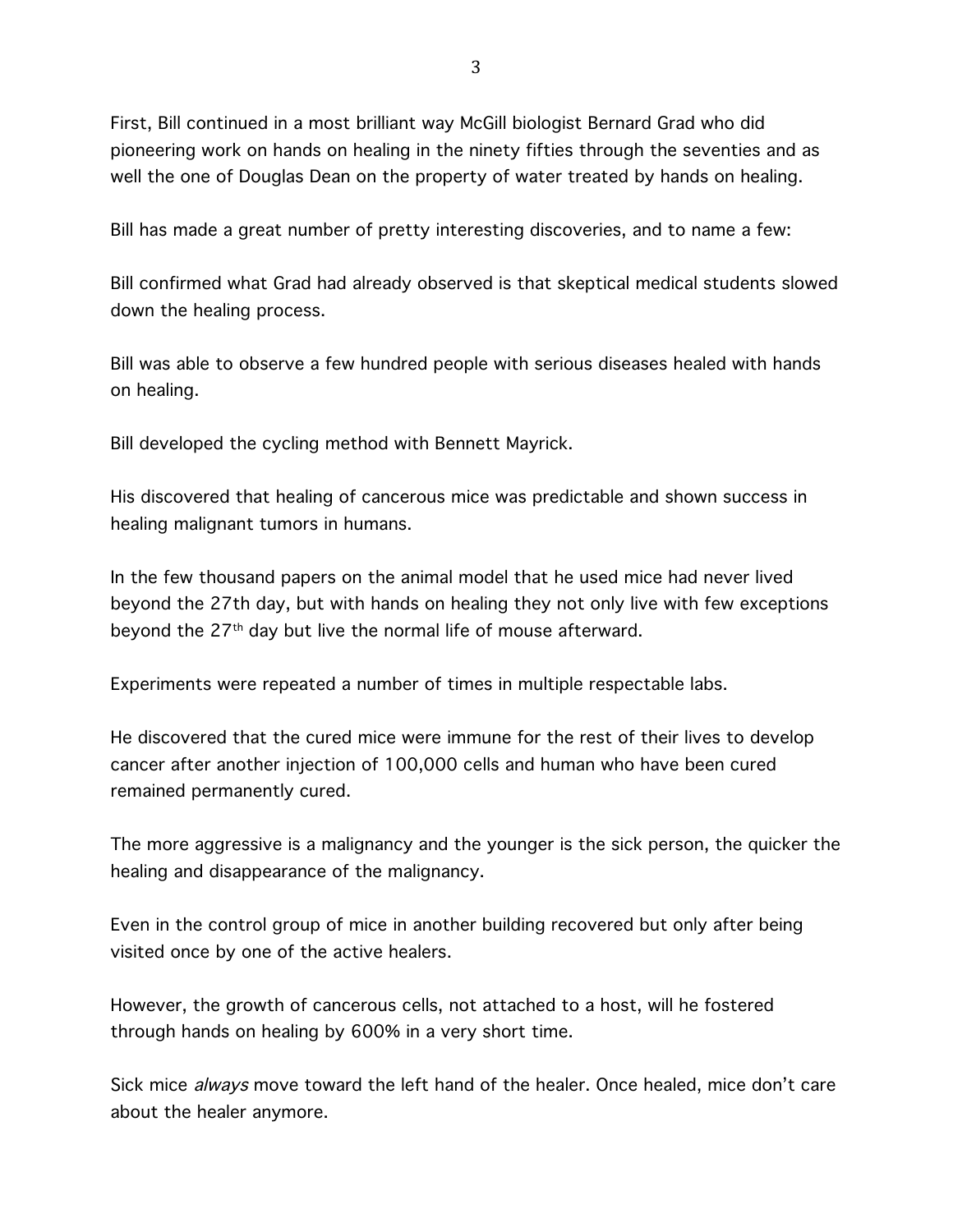First, Bill continued in a most brilliant way McGill biologist Bernard Grad who did pioneering work on hands on healing in the ninety fifties through the seventies and as well the one of Douglas Dean on the property of water treated by hands on healing.

Bill has made a great number of pretty interesting discoveries, and to name a few:

Bill confirmed what Grad had already observed is that skeptical medical students slowed down the healing process.

Bill was able to observe a few hundred people with serious diseases healed with hands on healing.

Bill developed the cycling method with Bennett Mayrick.

His discovered that healing of cancerous mice was predictable and shown success in healing malignant tumors in humans.

In the few thousand papers on the animal model that he used mice had never lived beyond the 27th day, but with hands on healing they not only live with few exceptions beyond the 27th day but live the normal life of mouse afterward.

Experiments were repeated a number of times in multiple respectable labs.

He discovered that the cured mice were immune for the rest of their lives to develop cancer after another injection of 100,000 cells and human who have been cured remained permanently cured.

The more aggressive is a malignancy and the younger is the sick person, the quicker the healing and disappearance of the malignancy.

Even in the control group of mice in another building recovered but only after being visited once by one of the active healers.

However, the growth of cancerous cells, not attached to a host, will he fostered through hands on healing by 600% in a very short time.

Sick mice *always* move toward the left hand of the healer. Once healed, mice don't care about the healer anymore.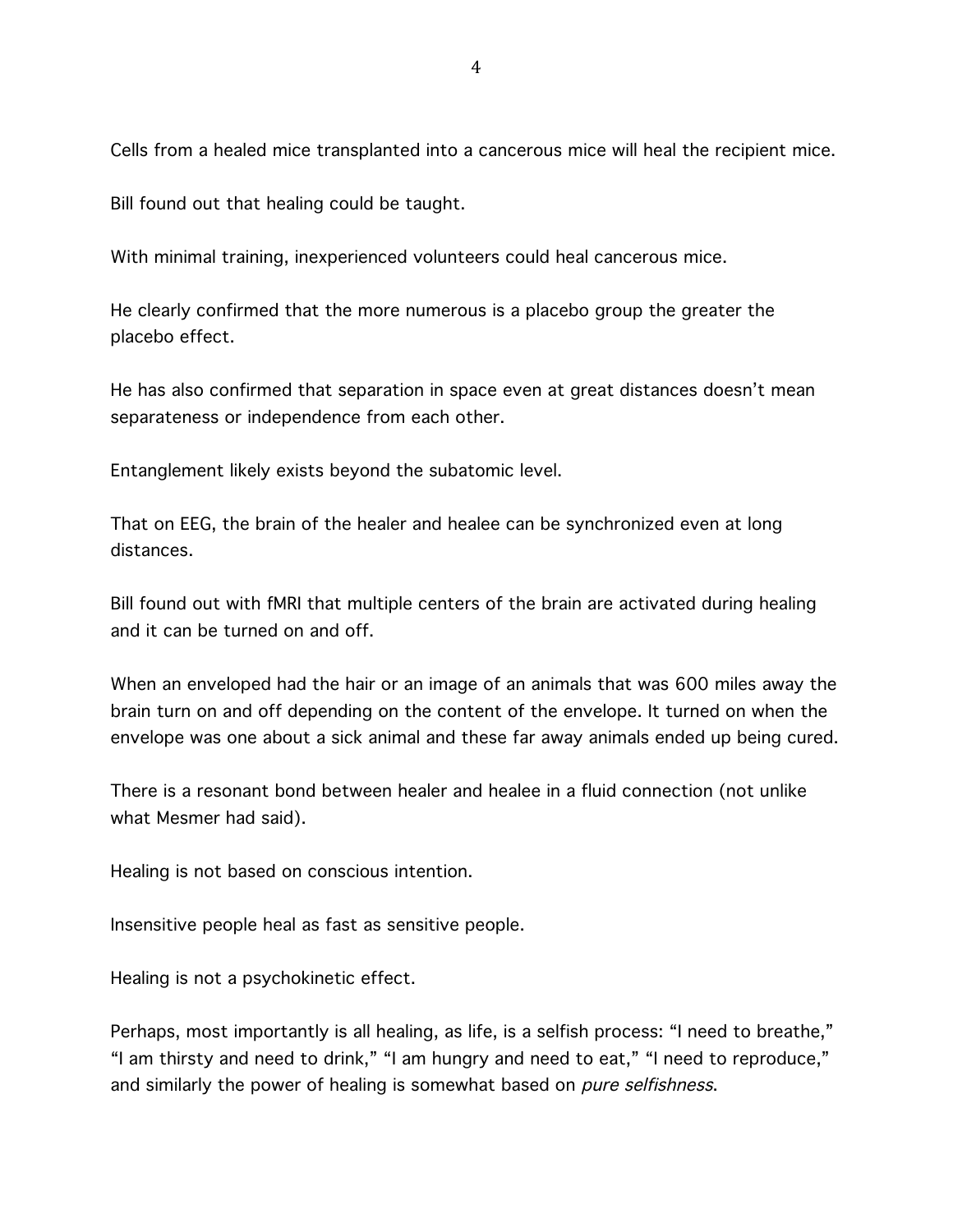Cells from a healed mice transplanted into a cancerous mice will heal the recipient mice.

Bill found out that healing could be taught.

With minimal training, inexperienced volunteers could heal cancerous mice.

He clearly confirmed that the more numerous is a placebo group the greater the placebo effect.

He has also confirmed that separation in space even at great distances doesn't mean separateness or independence from each other.

Entanglement likely exists beyond the subatomic level.

That on EEG, the brain of the healer and healee can be synchronized even at long distances.

Bill found out with fMRI that multiple centers of the brain are activated during healing and it can be turned on and off.

When an enveloped had the hair or an image of an animals that was 600 miles away the brain turn on and off depending on the content of the envelope. It turned on when the envelope was one about a sick animal and these far away animals ended up being cured.

There is a resonant bond between healer and healee in a fluid connection (not unlike what Mesmer had said).

Healing is not based on conscious intention.

Insensitive people heal as fast as sensitive people.

Healing is not a psychokinetic effect.

Perhaps, most importantly is all healing, as life, is a selfish process: "I need to breathe," "I am thirsty and need to drink," "I am hungry and need to eat," "I need to reproduce," and similarly the power of healing is somewhat based on *pure selfishness*.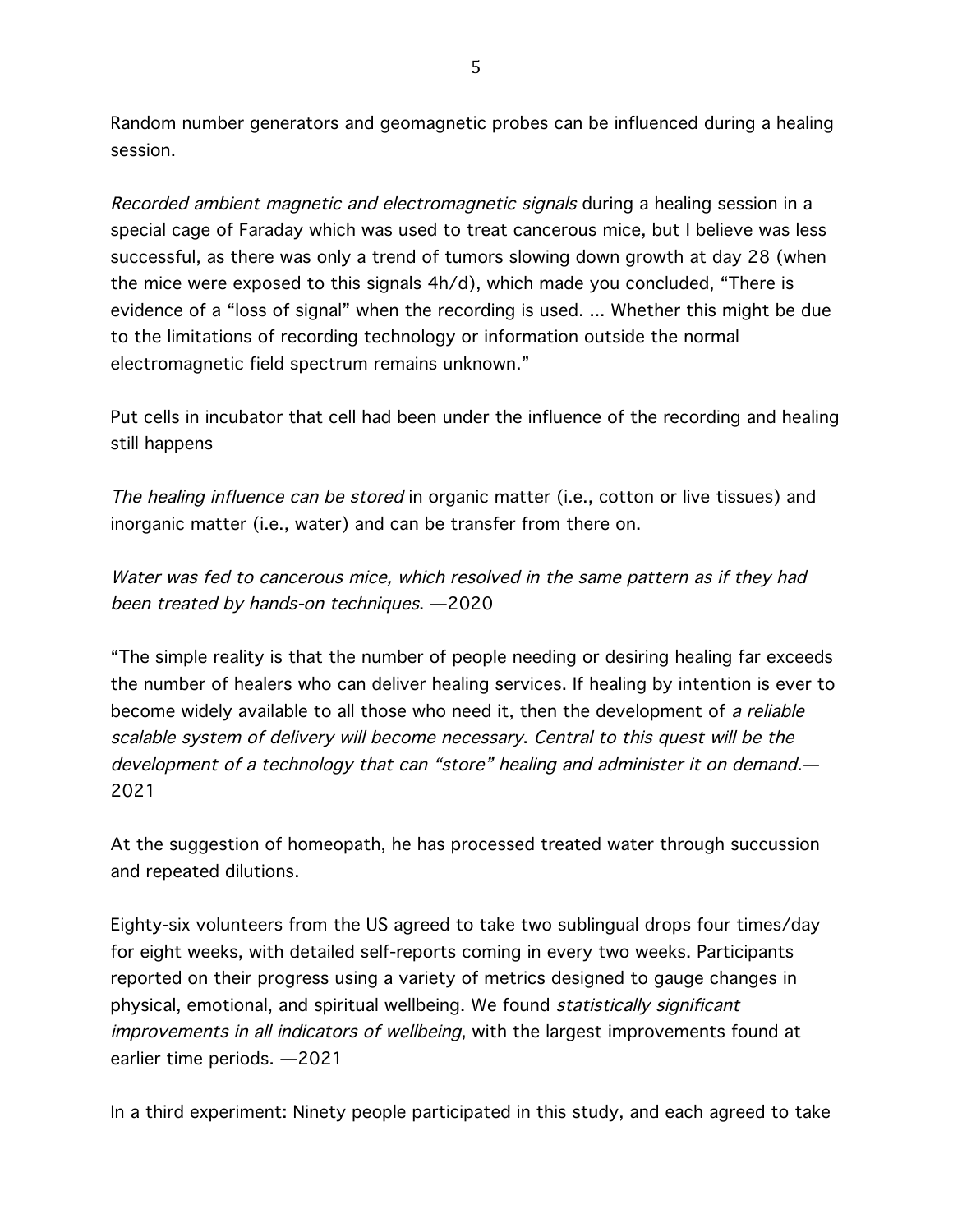Random number generators and geomagnetic probes can be influenced during a healing session.

Recorded ambient magnetic and electromagnetic signals during a healing session in a special cage of Faraday which was used to treat cancerous mice, but I believe was less successful, as there was only a trend of tumors slowing down growth at day 28 (when the mice were exposed to this signals 4h/d), which made you concluded, "There is evidence of a "loss of signal" when the recording is used. ... Whether this might be due to the limitations of recording technology or information outside the normal electromagnetic field spectrum remains unknown."

Put cells in incubator that cell had been under the influence of the recording and healing still happens

The healing influence can be stored in organic matter (i.e., cotton or live tissues) and inorganic matter (i.e., water) and can be transfer from there on.

Water was fed to cancerous mice, which resolved in the same pattern as if they had been treated by hands-on techniques. —2020

"The simple reality is that the number of people needing or desiring healing far exceeds the number of healers who can deliver healing services. If healing by intention is ever to become widely available to all those who need it, then the development of a reliable scalable system of delivery will become necessary. Central to this quest will be the development of a technology that can "store" healing and administer it on demand.— 2021

At the suggestion of homeopath, he has processed treated water through succussion and repeated dilutions.

Eighty-six volunteers from the US agreed to take two sublingual drops four times/day for eight weeks, with detailed self-reports coming in every two weeks. Participants reported on their progress using a variety of metrics designed to gauge changes in physical, emotional, and spiritual wellbeing. We found statistically significant improvements in all indicators of wellbeing, with the largest improvements found at earlier time periods. —2021

In a third experiment: Ninety people participated in this study, and each agreed to take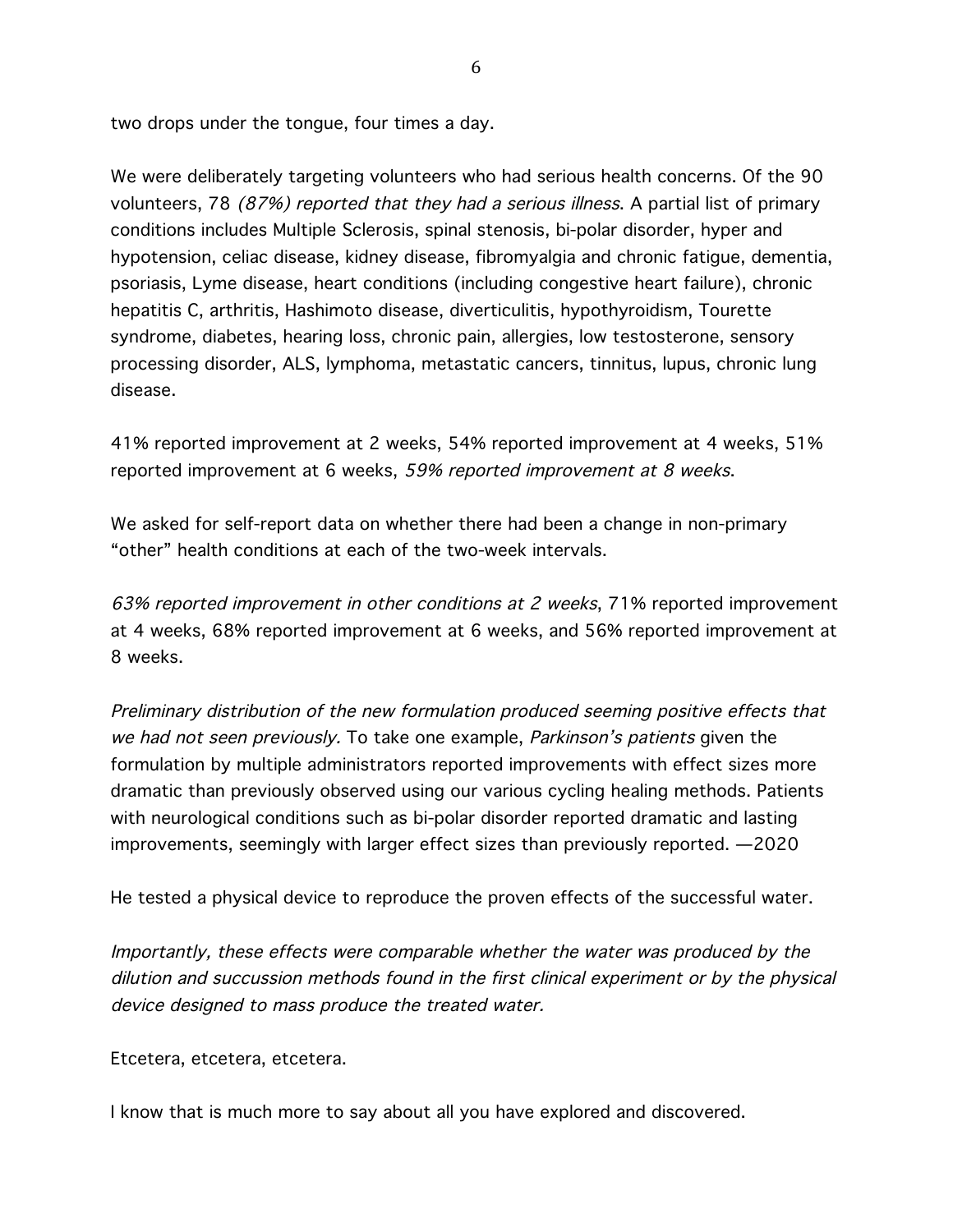two drops under the tongue, four times a day.

We were deliberately targeting volunteers who had serious health concerns. Of the 90 volunteers, 78 (87%) reported that they had a serious illness. A partial list of primary conditions includes Multiple Sclerosis, spinal stenosis, bi-polar disorder, hyper and hypotension, celiac disease, kidney disease, fibromyalgia and chronic fatigue, dementia, psoriasis, Lyme disease, heart conditions (including congestive heart failure), chronic hepatitis C, arthritis, Hashimoto disease, diverticulitis, hypothyroidism, Tourette syndrome, diabetes, hearing loss, chronic pain, allergies, low testosterone, sensory processing disorder, ALS, lymphoma, metastatic cancers, tinnitus, lupus, chronic lung disease.

41% reported improvement at 2 weeks, 54% reported improvement at 4 weeks, 51% reported improvement at 6 weeks, 59% reported improvement at 8 weeks.

We asked for self-report data on whether there had been a change in non-primary "other" health conditions at each of the two-week intervals.

63% reported improvement in other conditions at 2 weeks, 71% reported improvement at 4 weeks, 68% reported improvement at 6 weeks, and 56% reported improvement at 8 weeks.

Preliminary distribution of the new formulation produced seeming positive effects that we had not seen previously. To take one example, Parkinson's patients given the formulation by multiple administrators reported improvements with effect sizes more dramatic than previously observed using our various cycling healing methods. Patients with neurological conditions such as bi-polar disorder reported dramatic and lasting improvements, seemingly with larger effect sizes than previously reported. —2020

He tested a physical device to reproduce the proven effects of the successful water.

Importantly, these effects were comparable whether the water was produced by the dilution and succussion methods found in the first clinical experiment or by the physical device designed to mass produce the treated water.

Etcetera, etcetera, etcetera.

I know that is much more to say about all you have explored and discovered.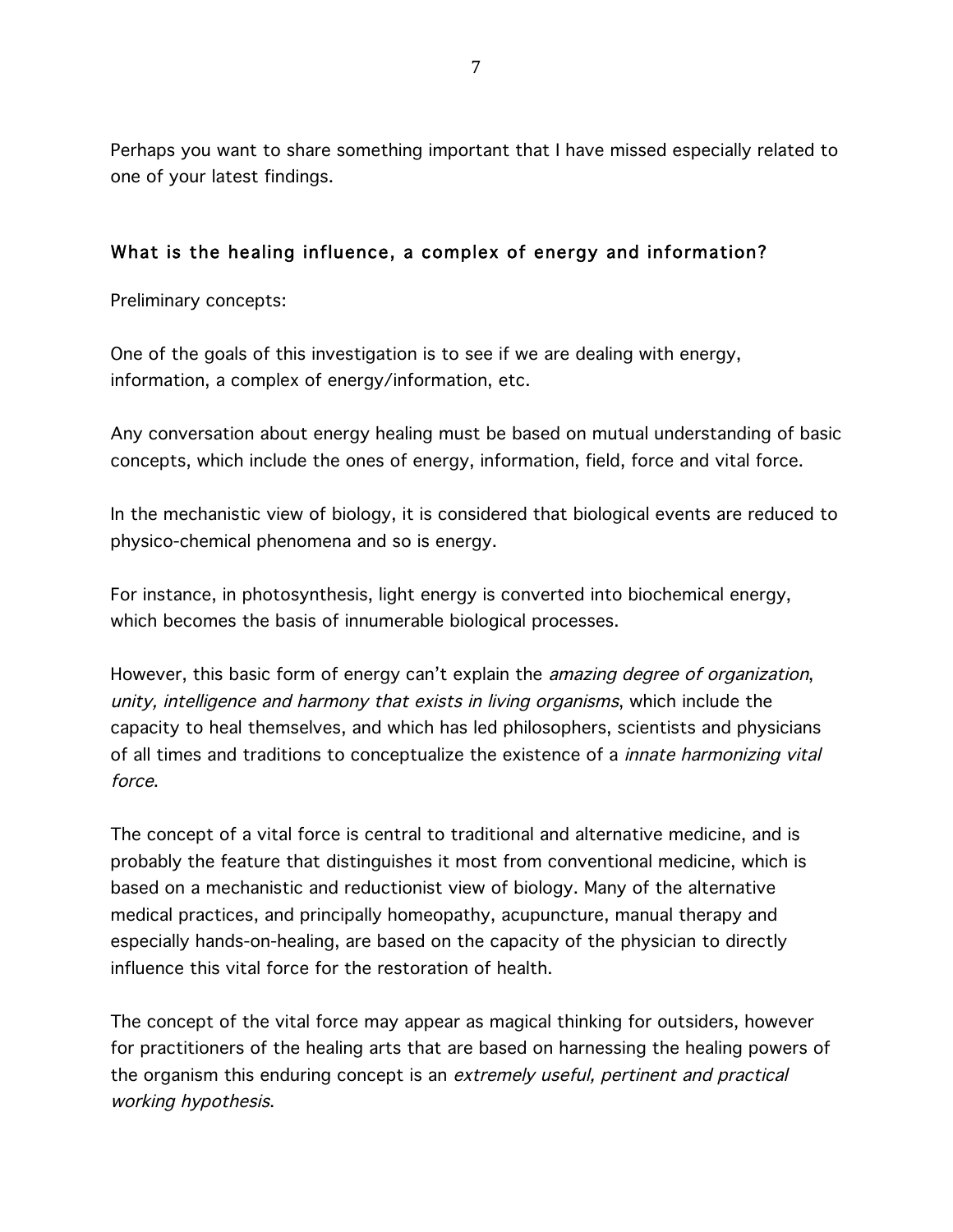Perhaps you want to share something important that I have missed especially related to one of your latest findings.

### What is the healing influence, a complex of energy and information?

Preliminary concepts:

One of the goals of this investigation is to see if we are dealing with energy, information, a complex of energy/information, etc.

Any conversation about energy healing must be based on mutual understanding of basic concepts, which include the ones of energy, information, field, force and vital force.

In the mechanistic view of biology, it is considered that biological events are reduced to physico-chemical phenomena and so is energy.

For instance, in photosynthesis, light energy is converted into biochemical energy, which becomes the basis of innumerable biological processes.

However, this basic form of energy can't explain the *amazing degree of organization*, unity, intelligence and harmony that exists in living organisms, which include the capacity to heal themselves, and which has led philosophers, scientists and physicians of all times and traditions to conceptualize the existence of a innate harmonizing vital force.

The concept of a vital force is central to traditional and alternative medicine, and is probably the feature that distinguishes it most from conventional medicine, which is based on a mechanistic and reductionist view of biology. Many of the alternative medical practices, and principally homeopathy, acupuncture, manual therapy and especially hands-on-healing, are based on the capacity of the physician to directly influence this vital force for the restoration of health.

The concept of the vital force may appear as magical thinking for outsiders, however for practitioners of the healing arts that are based on harnessing the healing powers of the organism this enduring concept is an *extremely useful, pertinent and practical* working hypothesis.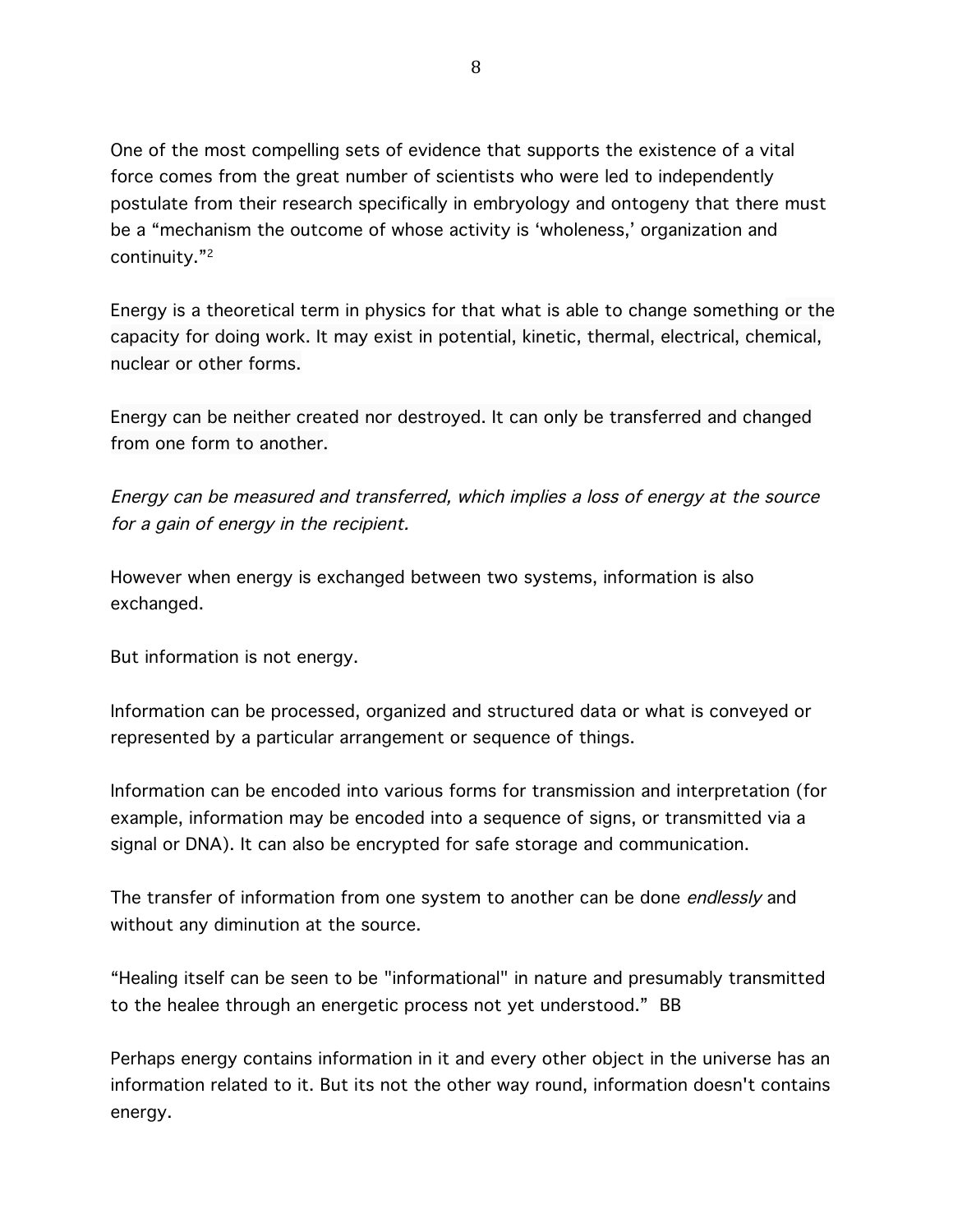One of the most compelling sets of evidence that supports the existence of a vital force comes from the great number of scientists who were led to independently postulate from their research specifically in embryology and ontogeny that there must be a "mechanism the outcome of whose activity is 'wholeness,' organization and continuity."2

Energy is a theoretical term in physics for that what is able to change something or the capacity for doing work. It may exist in potential, kinetic, thermal, electrical, chemical, nuclear or other forms.

Energy can be neither created nor destroyed. It can only be transferred and changed from one form to another.

Energy can be measured and transferred, which implies a loss of energy at the source for a gain of energy in the recipient.

However when energy is exchanged between two systems, information is also exchanged.

But information is not energy.

Information can be processed, organized and structured data or what is conveyed or represented by a particular arrangement or sequence of things.

Information can be encoded into various forms for transmission and interpretation (for example, information may be encoded into a sequence of signs, or transmitted via a signal or DNA). It can also be encrypted for safe storage and communication.

The transfer of information from one system to another can be done endlessly and without any diminution at the source.

"Healing itself can be seen to be "informational" in nature and presumably transmitted to the healee through an energetic process not yet understood." BB

Perhaps energy contains information in it and every other object in the universe has an information related to it. But its not the other way round, information doesn't contains energy.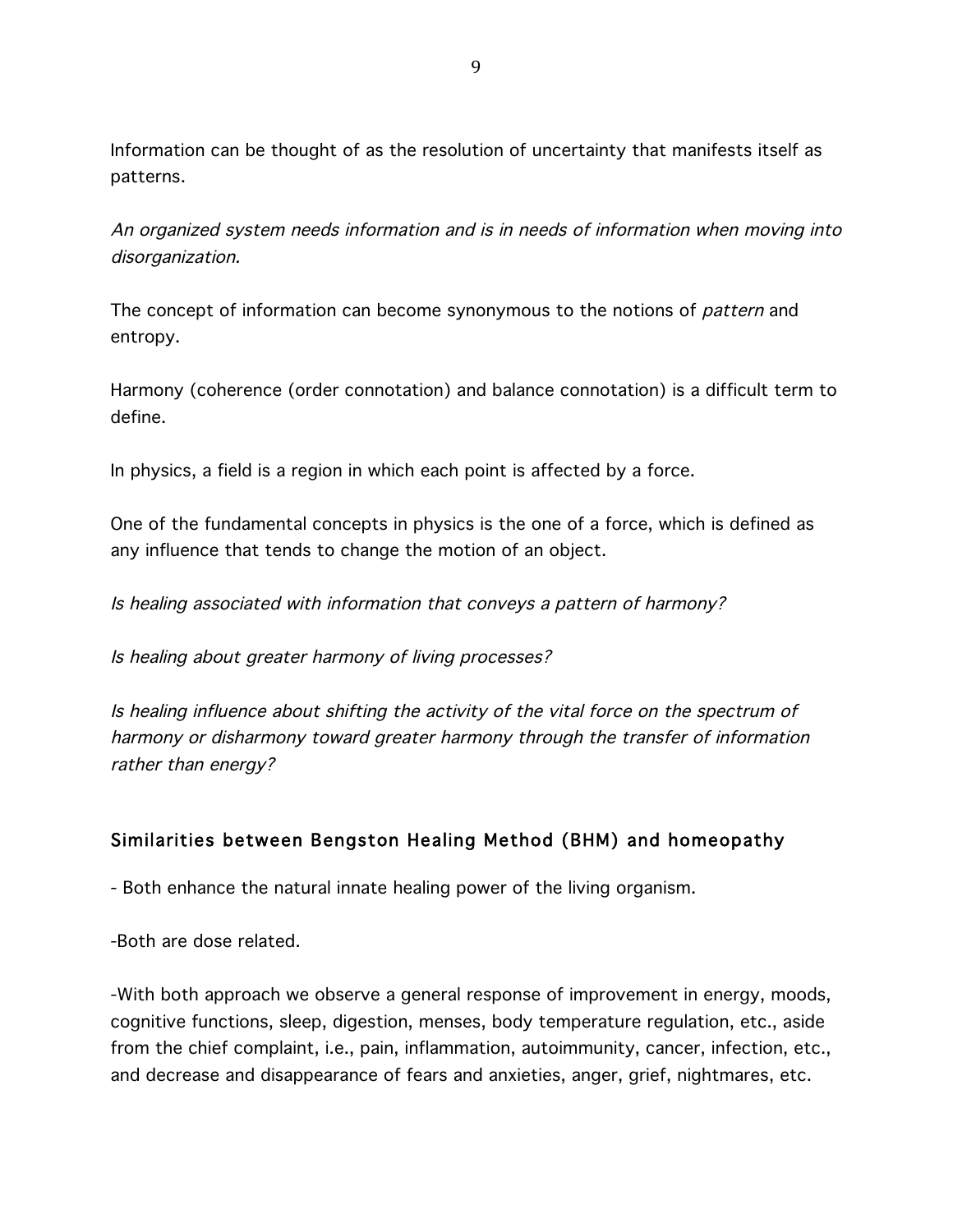Information can be thought of as the resolution of uncertainty that manifests itself as patterns.

An organized system needs information and is in needs of information when moving into disorganization.

The concept of information can become synonymous to the notions of *pattern* and entropy.

Harmony (coherence (order connotation) and balance connotation) is a difficult term to define.

In physics, a field is a region in which each point is affected by a force.

One of the fundamental concepts in physics is the one of a force, which is defined as any influence that tends to change the motion of an object.

Is healing associated with information that conveys a pattern of harmony?

Is healing about greater harmony of living processes?

Is healing influence about shifting the activity of the vital force on the spectrum of harmony or disharmony toward greater harmony through the transfer of information rather than energy?

# Similarities between Bengston Healing Method (BHM) and homeopathy

- Both enhance the natural innate healing power of the living organism.

-Both are dose related.

-With both approach we observe a general response of improvement in energy, moods, cognitive functions, sleep, digestion, menses, body temperature regulation, etc., aside from the chief complaint, i.e., pain, inflammation, autoimmunity, cancer, infection, etc., and decrease and disappearance of fears and anxieties, anger, grief, nightmares, etc.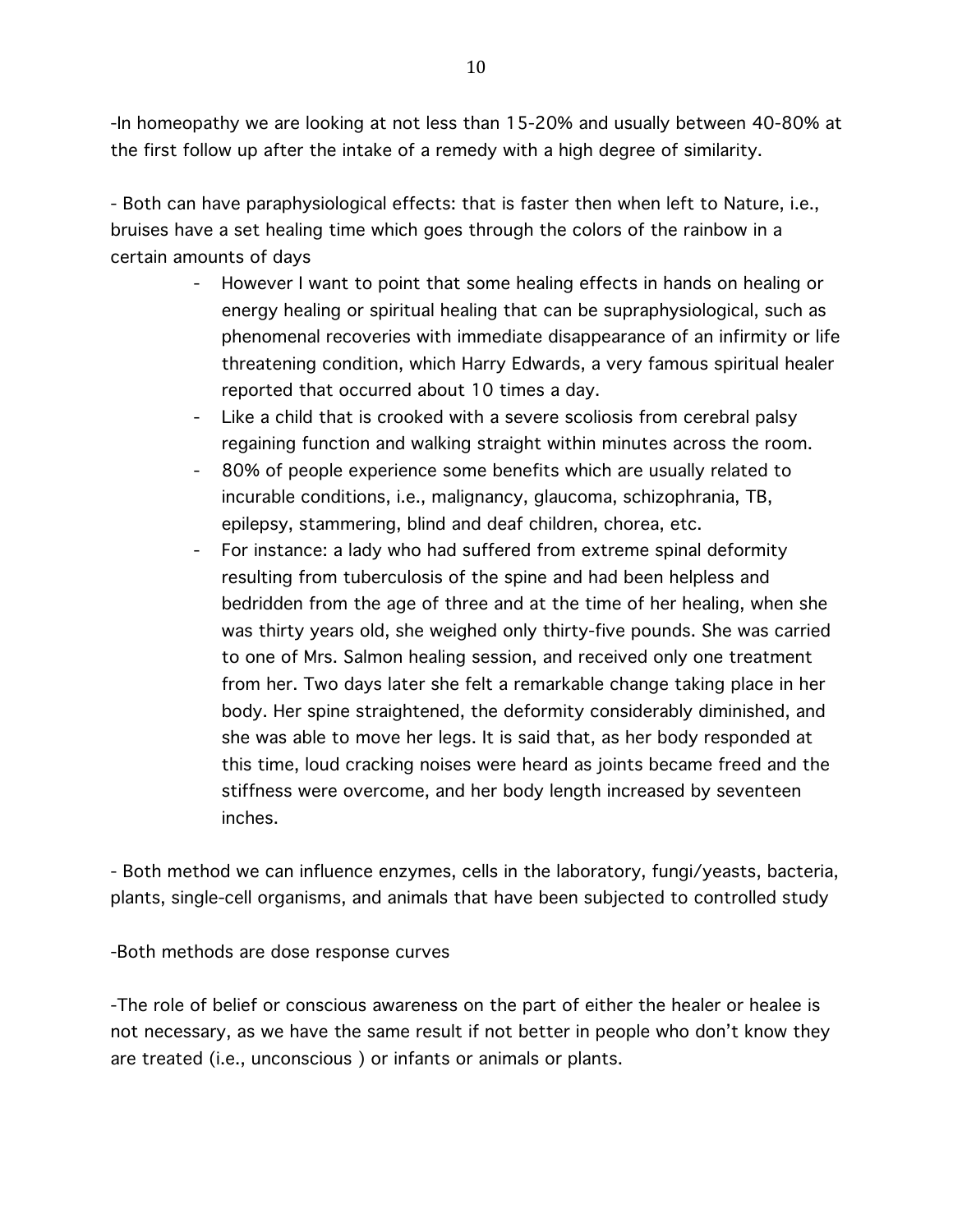-In homeopathy we are looking at not less than 15-20% and usually between 40-80% at the first follow up after the intake of a remedy with a high degree of similarity.

- Both can have paraphysiological effects: that is faster then when left to Nature, i.e., bruises have a set healing time which goes through the colors of the rainbow in a certain amounts of days

- However I want to point that some healing effects in hands on healing or energy healing or spiritual healing that can be supraphysiological, such as phenomenal recoveries with immediate disappearance of an infirmity or life threatening condition, which Harry Edwards, a very famous spiritual healer reported that occurred about 10 times a day.
- Like a child that is crooked with a severe scoliosis from cerebral palsy regaining function and walking straight within minutes across the room.
- 80% of people experience some benefits which are usually related to incurable conditions, i.e., malignancy, glaucoma, schizophrania, TB, epilepsy, stammering, blind and deaf children, chorea, etc.
- For instance: a lady who had suffered from extreme spinal deformity resulting from tuberculosis of the spine and had been helpless and bedridden from the age of three and at the time of her healing, when she was thirty years old, she weighed only thirty-five pounds. She was carried to one of Mrs. Salmon healing session, and received only one treatment from her. Two days later she felt a remarkable change taking place in her body. Her spine straightened, the deformity considerably diminished, and she was able to move her legs. It is said that, as her body responded at this time, loud cracking noises were heard as joints became freed and the stiffness were overcome, and her body length increased by seventeen inches.

- Both method we can influence enzymes, cells in the laboratory, fungi/yeasts, bacteria, plants, single-cell organisms, and animals that have been subjected to controlled study

-Both methods are dose response curves

-The role of belief or conscious awareness on the part of either the healer or healee is not necessary, as we have the same result if not better in people who don't know they are treated (i.e., unconscious ) or infants or animals or plants.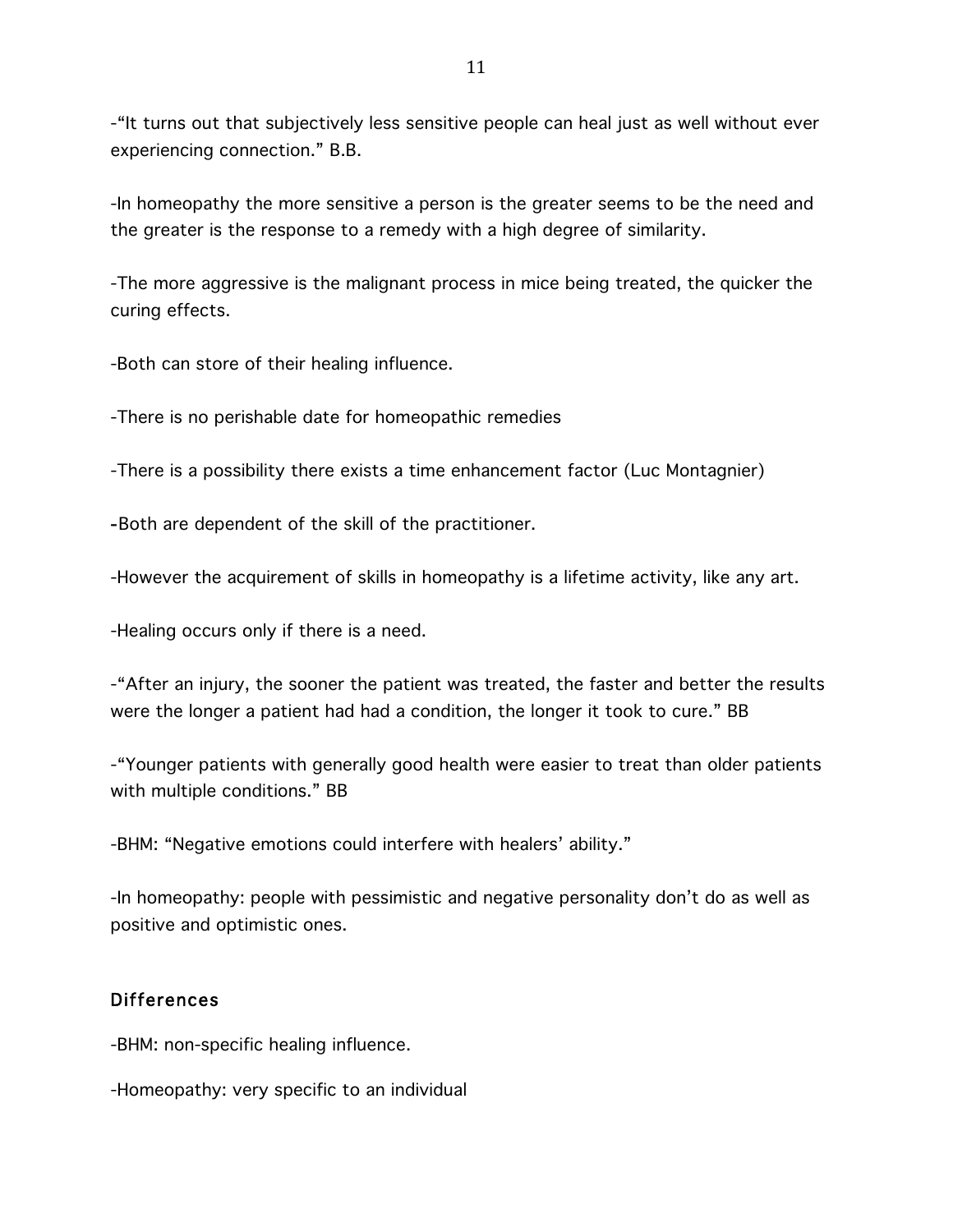-"It turns out that subjectively less sensitive people can heal just as well without ever experiencing connection." B.B.

-In homeopathy the more sensitive a person is the greater seems to be the need and the greater is the response to a remedy with a high degree of similarity.

-The more aggressive is the malignant process in mice being treated, the quicker the curing effects.

-Both can store of their healing influence.

-There is no perishable date for homeopathic remedies

-There is a possibility there exists a time enhancement factor (Luc Montagnier)

-Both are dependent of the skill of the practitioner.

-However the acquirement of skills in homeopathy is a lifetime activity, like any art.

-Healing occurs only if there is a need.

-"After an injury, the sooner the patient was treated, the faster and better the results were the longer a patient had had a condition, the longer it took to cure." BB

-"Younger patients with generally good health were easier to treat than older patients with multiple conditions." BB

-BHM: "Negative emotions could interfere with healers' ability."

-In homeopathy: people with pessimistic and negative personality don't do as well as positive and optimistic ones.

### Differences

-BHM: non-specific healing influence.

-Homeopathy: very specific to an individual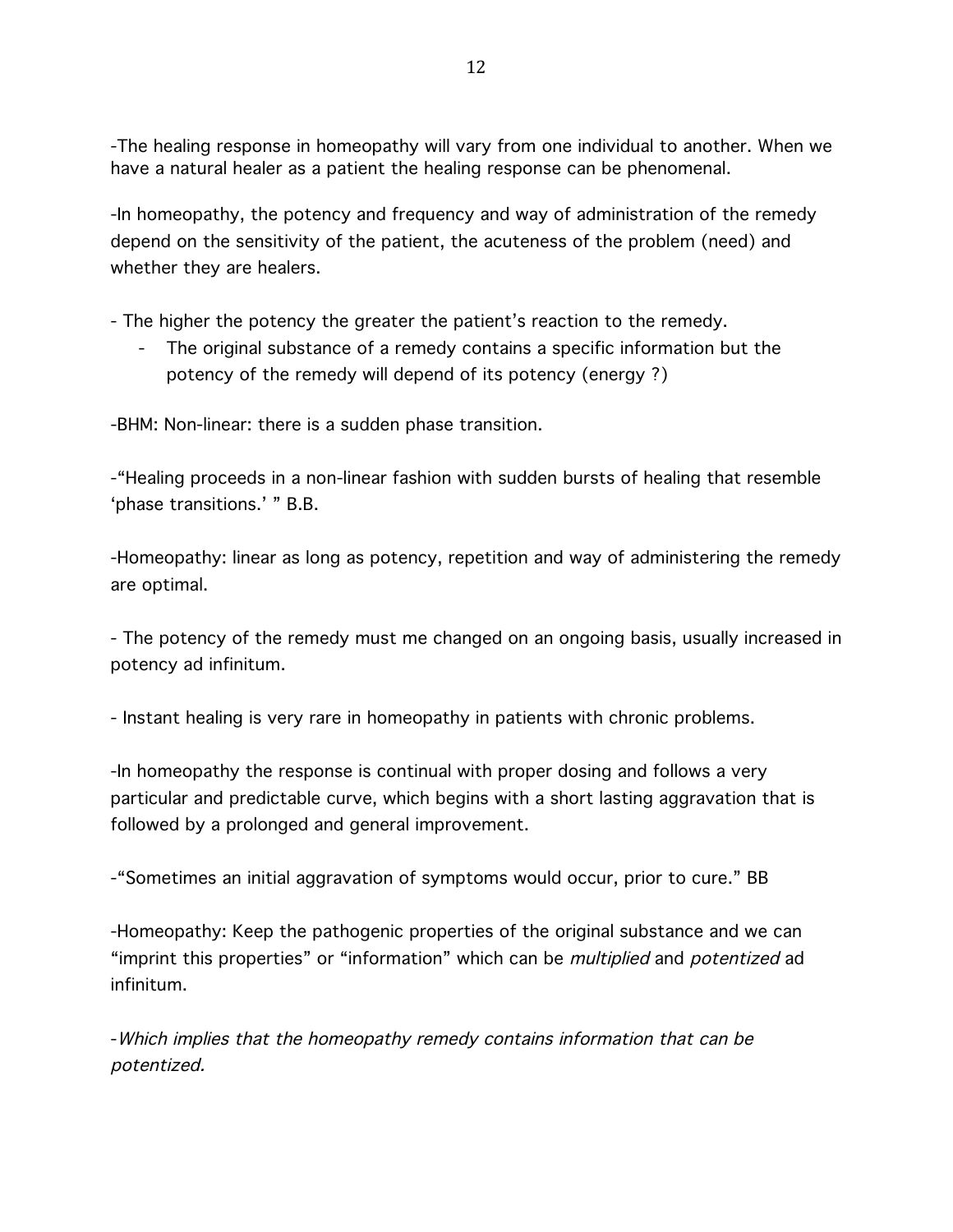-The healing response in homeopathy will vary from one individual to another. When we have a natural healer as a patient the healing response can be phenomenal.

-In homeopathy, the potency and frequency and way of administration of the remedy depend on the sensitivity of the patient, the acuteness of the problem (need) and whether they are healers.

- The higher the potency the greater the patient's reaction to the remedy.

- The original substance of a remedy contains a specific information but the potency of the remedy will depend of its potency (energy ?)

-BHM: Non-linear: there is a sudden phase transition.

-"Healing proceeds in a non-linear fashion with sudden bursts of healing that resemble 'phase transitions.' " B.B.

-Homeopathy: linear as long as potency, repetition and way of administering the remedy are optimal.

- The potency of the remedy must me changed on an ongoing basis, usually increased in potency ad infinitum.

- Instant healing is very rare in homeopathy in patients with chronic problems.

-In homeopathy the response is continual with proper dosing and follows a very particular and predictable curve, which begins with a short lasting aggravation that is followed by a prolonged and general improvement.

-"Sometimes an initial aggravation of symptoms would occur, prior to cure." BB

-Homeopathy: Keep the pathogenic properties of the original substance and we can "imprint this properties" or "information" which can be *multiplied* and *potentized* ad infinitum.

-Which implies that the homeopathy remedy contains information that can be potentized.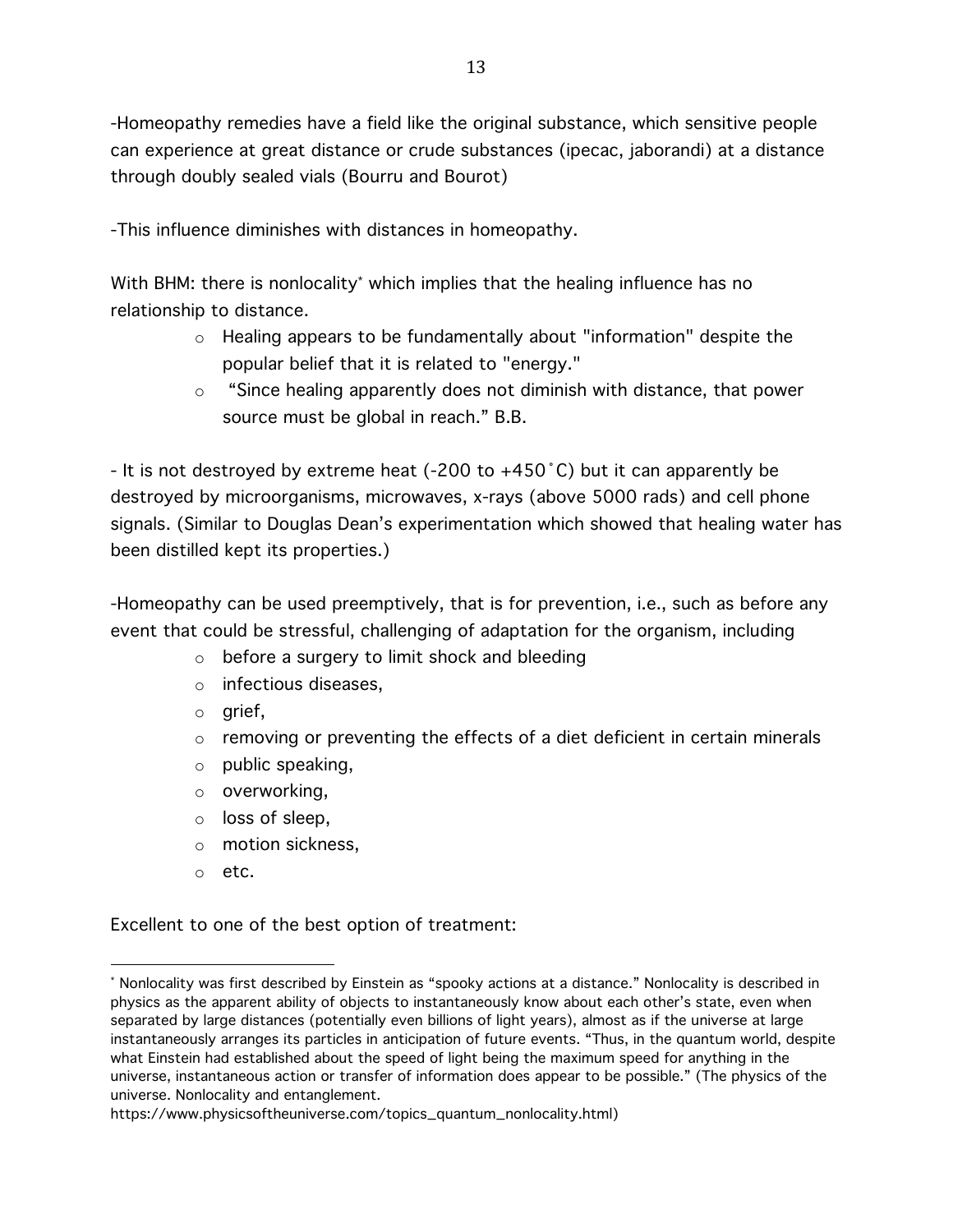-Homeopathy remedies have a field like the original substance, which sensitive people can experience at great distance or crude substances (ipecac, jaborandi) at a distance through doubly sealed vials (Bourru and Bourot)

-This influence diminishes with distances in homeopathy.

With BHM: there is nonlocality<sup>\*</sup> which implies that the healing influence has no relationship to distance.

- o Healing appears to be fundamentally about "information" despite the popular belief that it is related to "energy."
- o "Since healing apparently does not diminish with distance, that power source must be global in reach." B.B.

- It is not destroyed by extreme heat (-200 to +450˚C) but it can apparently be destroyed by microorganisms, microwaves, x-rays (above 5000 rads) and cell phone signals. (Similar to Douglas Dean's experimentation which showed that healing water has been distilled kept its properties.)

-Homeopathy can be used preemptively, that is for prevention, i.e., such as before any event that could be stressful, challenging of adaptation for the organism, including

- o before a surgery to limit shock and bleeding
- o infectious diseases,
- o grief,
- $\circ$  removing or preventing the effects of a diet deficient in certain minerals
- $\circ$  public speaking,
- o overworking,
- o loss of sleep,
- o motion sickness,
- o etc.

 

Excellent to one of the best option of treatment:

<sup>\*</sup> Nonlocality was first described by Einstein as "spooky actions at a distance." Nonlocality is described in physics as the apparent ability of objects to instantaneously know about each other's state, even when separated by large distances (potentially even billions of light years), almost as if the universe at large instantaneously arranges its particles in anticipation of future events. "Thus, in the quantum world, despite what Einstein had established about the speed of light being the maximum speed for anything in the universe, instantaneous action or transfer of information does appear to be possible." (The physics of the universe. Nonlocality and entanglement.

https://www.physicsoftheuniverse.com/topics\_quantum\_nonlocality.html)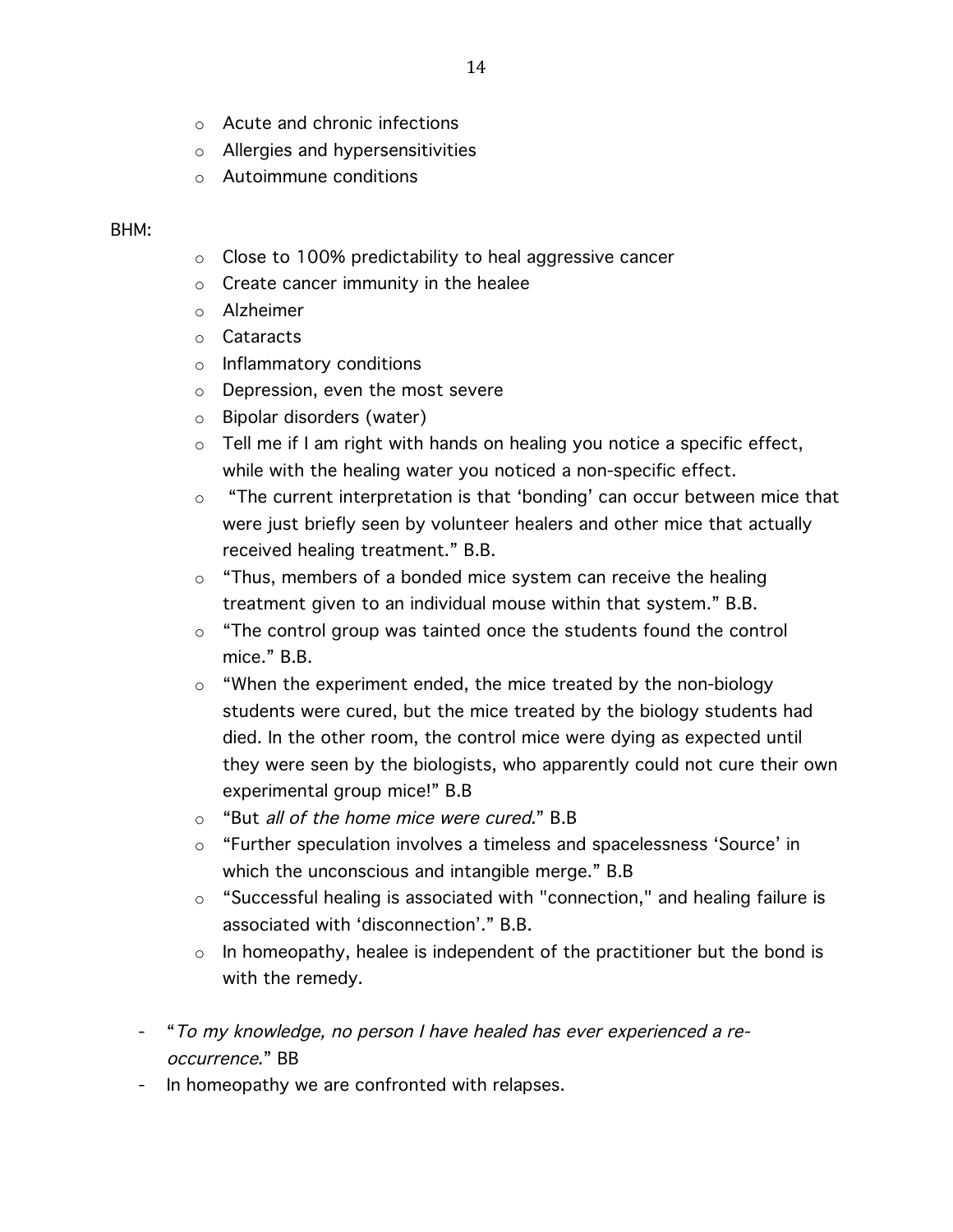- o Acute and chronic infections
- o Allergies and hypersensitivities
- o Autoimmune conditions

#### BHM:

- o Close to 100% predictability to heal aggressive cancer
- o Create cancer immunity in the healee
- o Alzheimer
- o Cataracts
- o Inflammatory conditions
- o Depression, even the most severe
- o Bipolar disorders (water)
- $\circ$  Tell me if I am right with hands on healing you notice a specific effect, while with the healing water you noticed a non-specific effect.
- $\circ$  "The current interpretation is that 'bonding' can occur between mice that were just briefly seen by volunteer healers and other mice that actually received healing treatment." B.B.
- $\circ$  "Thus, members of a bonded mice system can receive the healing treatment given to an individual mouse within that system." B.B.
- $\circ$  "The control group was tainted once the students found the control mice." B.B.
- o "When the experiment ended, the mice treated by the non-biology students were cured, but the mice treated by the biology students had died. In the other room, the control mice were dying as expected until they were seen by the biologists, who apparently could not cure their own experimental group mice!" B.B
- o "But all of the home mice were cured." B.B
- o "Further speculation involves a timeless and spacelessness 'Source' in which the unconscious and intangible merge." B.B
- o "Successful healing is associated with "connection," and healing failure is associated with 'disconnection'." B.B.
- $\circ$  In homeopathy, healee is independent of the practitioner but the bond is with the remedy.
- "To my knowledge, no person I have healed has ever experienced a reoccurrence." BB
- In homeopathy we are confronted with relapses.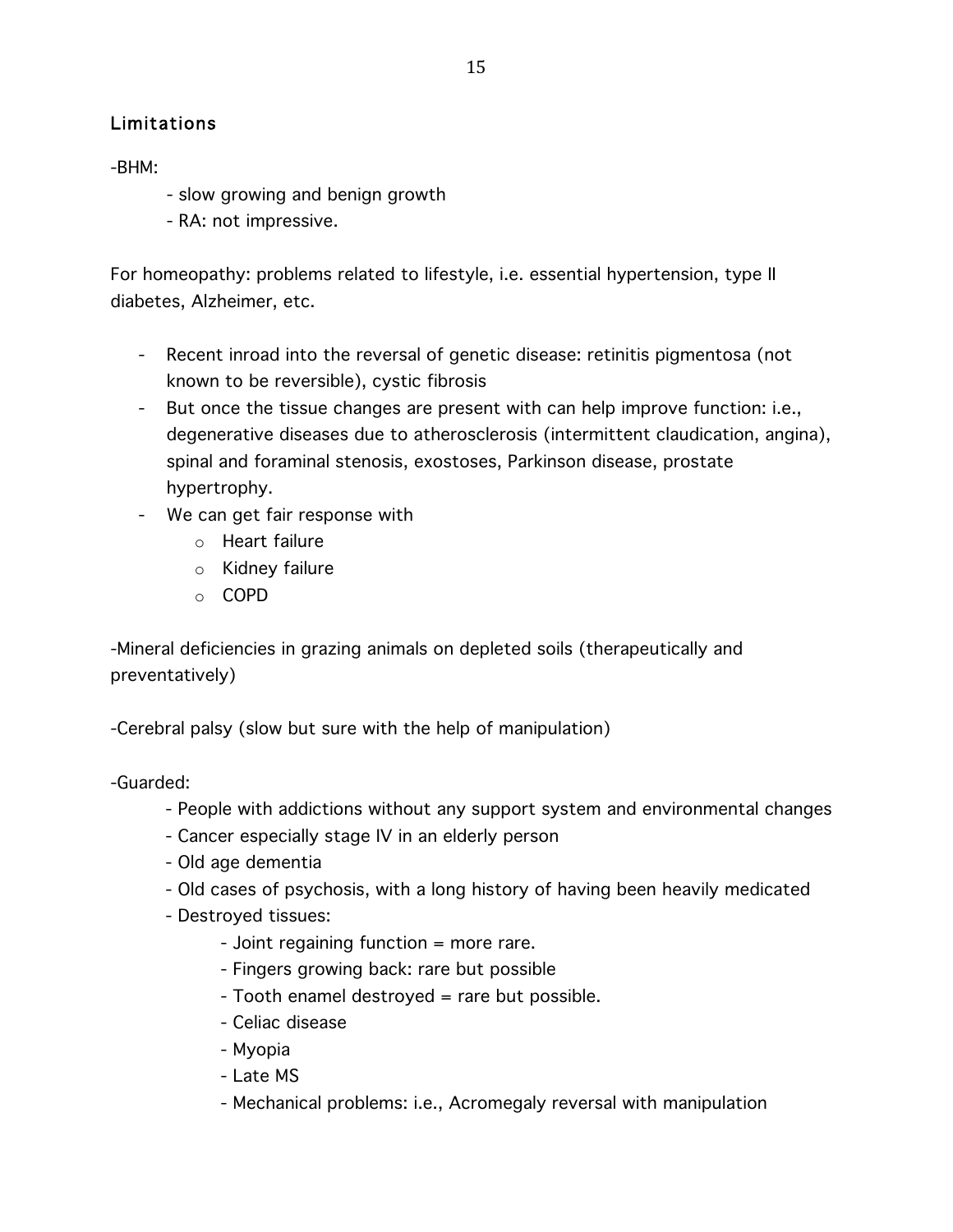# Limitations

-BHM:

- slow growing and benign growth
- RA: not impressive.

For homeopathy: problems related to lifestyle, i.e. essential hypertension, type II diabetes, Alzheimer, etc.

- Recent inroad into the reversal of genetic disease: retinitis pigmentosa (not known to be reversible), cystic fibrosis
- But once the tissue changes are present with can help improve function: i.e., degenerative diseases due to atherosclerosis (intermittent claudication, angina), spinal and foraminal stenosis, exostoses, Parkinson disease, prostate hypertrophy.
- We can get fair response with
	- o Heart failure
	- o Kidney failure
	- o COPD

-Mineral deficiencies in grazing animals on depleted soils (therapeutically and preventatively)

-Cerebral palsy (slow but sure with the help of manipulation)

-Guarded:

- People with addictions without any support system and environmental changes
- Cancer especially stage IV in an elderly person
- Old age dementia
- Old cases of psychosis, with a long history of having been heavily medicated
- Destroyed tissues:
	- Joint regaining function = more rare.
	- Fingers growing back: rare but possible
	- Tooth enamel destroyed = rare but possible.
	- Celiac disease
	- Myopia
	- Late MS
	- Mechanical problems: i.e., Acromegaly reversal with manipulation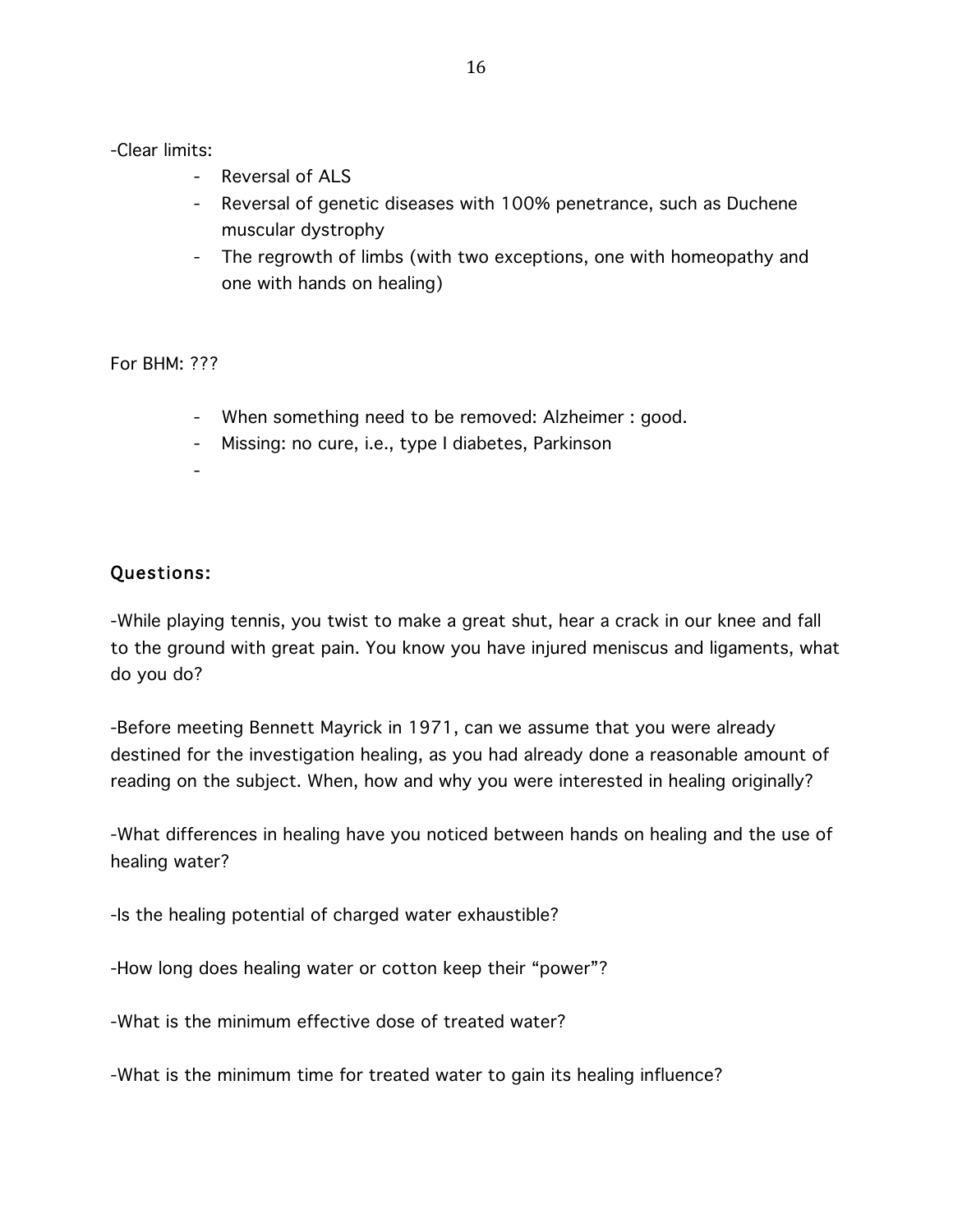-Clear limits:

- Reversal of ALS
- Reversal of genetic diseases with 100% penetrance, such as Duchene muscular dystrophy
- The regrowth of limbs (with two exceptions, one with homeopathy and one with hands on healing)

For BHM: ???

- When something need to be removed: Alzheimer : good.
- Missing: no cure, i.e., type I diabetes, Parkinson
- -

# Questions:

-While playing tennis, you twist to make a great shut, hear a crack in our knee and fall to the ground with great pain. You know you have injured meniscus and ligaments, what do you do?

-Before meeting Bennett Mayrick in 1971, can we assume that you were already destined for the investigation healing, as you had already done a reasonable amount of reading on the subject. When, how and why you were interested in healing originally?

-What differences in healing have you noticed between hands on healing and the use of healing water?

-Is the healing potential of charged water exhaustible?

-How long does healing water or cotton keep their "power"?

-What is the minimum effective dose of treated water?

-What is the minimum time for treated water to gain its healing influence?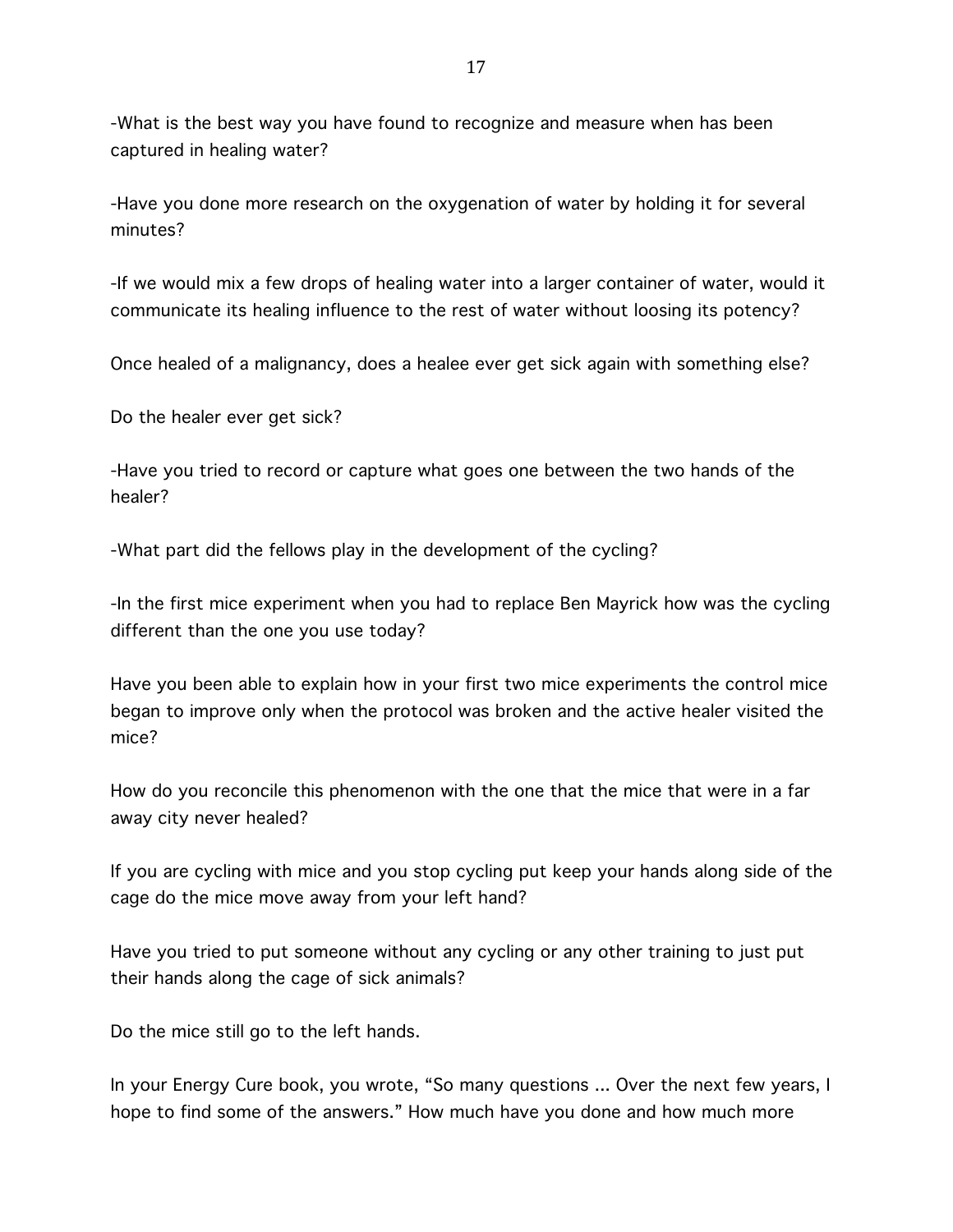-What is the best way you have found to recognize and measure when has been captured in healing water?

-Have you done more research on the oxygenation of water by holding it for several minutes?

-If we would mix a few drops of healing water into a larger container of water, would it communicate its healing influence to the rest of water without loosing its potency?

Once healed of a malignancy, does a healee ever get sick again with something else?

Do the healer ever get sick?

-Have you tried to record or capture what goes one between the two hands of the healer?

-What part did the fellows play in the development of the cycling?

-In the first mice experiment when you had to replace Ben Mayrick how was the cycling different than the one you use today?

Have you been able to explain how in your first two mice experiments the control mice began to improve only when the protocol was broken and the active healer visited the mice?

How do you reconcile this phenomenon with the one that the mice that were in a far away city never healed?

If you are cycling with mice and you stop cycling put keep your hands along side of the cage do the mice move away from your left hand?

Have you tried to put someone without any cycling or any other training to just put their hands along the cage of sick animals?

Do the mice still go to the left hands.

In your Energy Cure book, you wrote, "So many questions ... Over the next few years, I hope to find some of the answers." How much have you done and how much more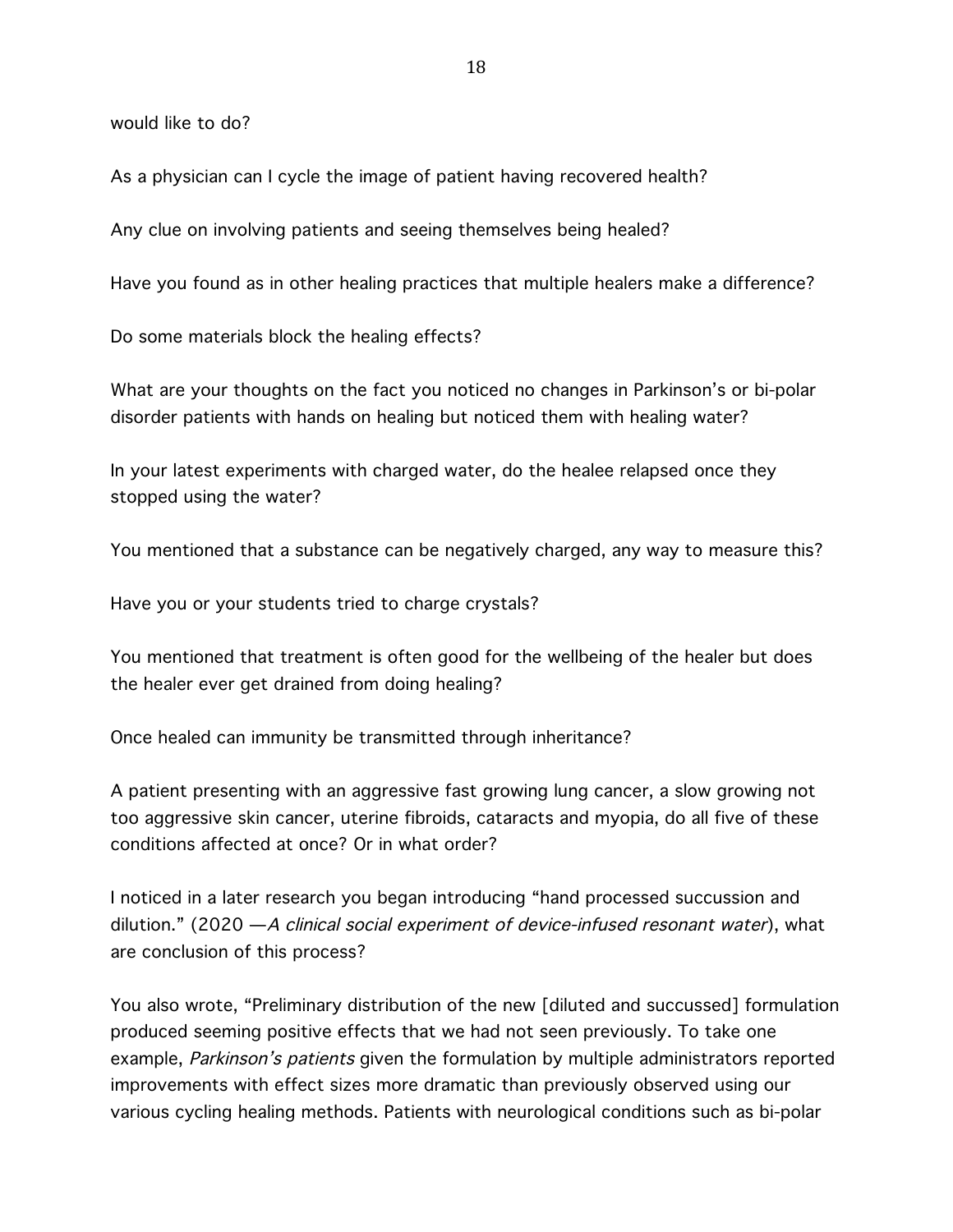would like to do?

As a physician can I cycle the image of patient having recovered health?

Any clue on involving patients and seeing themselves being healed?

Have you found as in other healing practices that multiple healers make a difference?

Do some materials block the healing effects?

What are your thoughts on the fact you noticed no changes in Parkinson's or bi-polar disorder patients with hands on healing but noticed them with healing water?

In your latest experiments with charged water, do the healee relapsed once they stopped using the water?

You mentioned that a substance can be negatively charged, any way to measure this?

Have you or your students tried to charge crystals?

You mentioned that treatment is often good for the wellbeing of the healer but does the healer ever get drained from doing healing?

Once healed can immunity be transmitted through inheritance?

A patient presenting with an aggressive fast growing lung cancer, a slow growing not too aggressive skin cancer, uterine fibroids, cataracts and myopia, do all five of these conditions affected at once? Or in what order?

I noticed in a later research you began introducing "hand processed succussion and dilution." (2020  $-A$  clinical social experiment of device-infused resonant water), what are conclusion of this process?

You also wrote, "Preliminary distribution of the new [diluted and succussed] formulation produced seeming positive effects that we had not seen previously. To take one example, Parkinson's patients given the formulation by multiple administrators reported improvements with effect sizes more dramatic than previously observed using our various cycling healing methods. Patients with neurological conditions such as bi-polar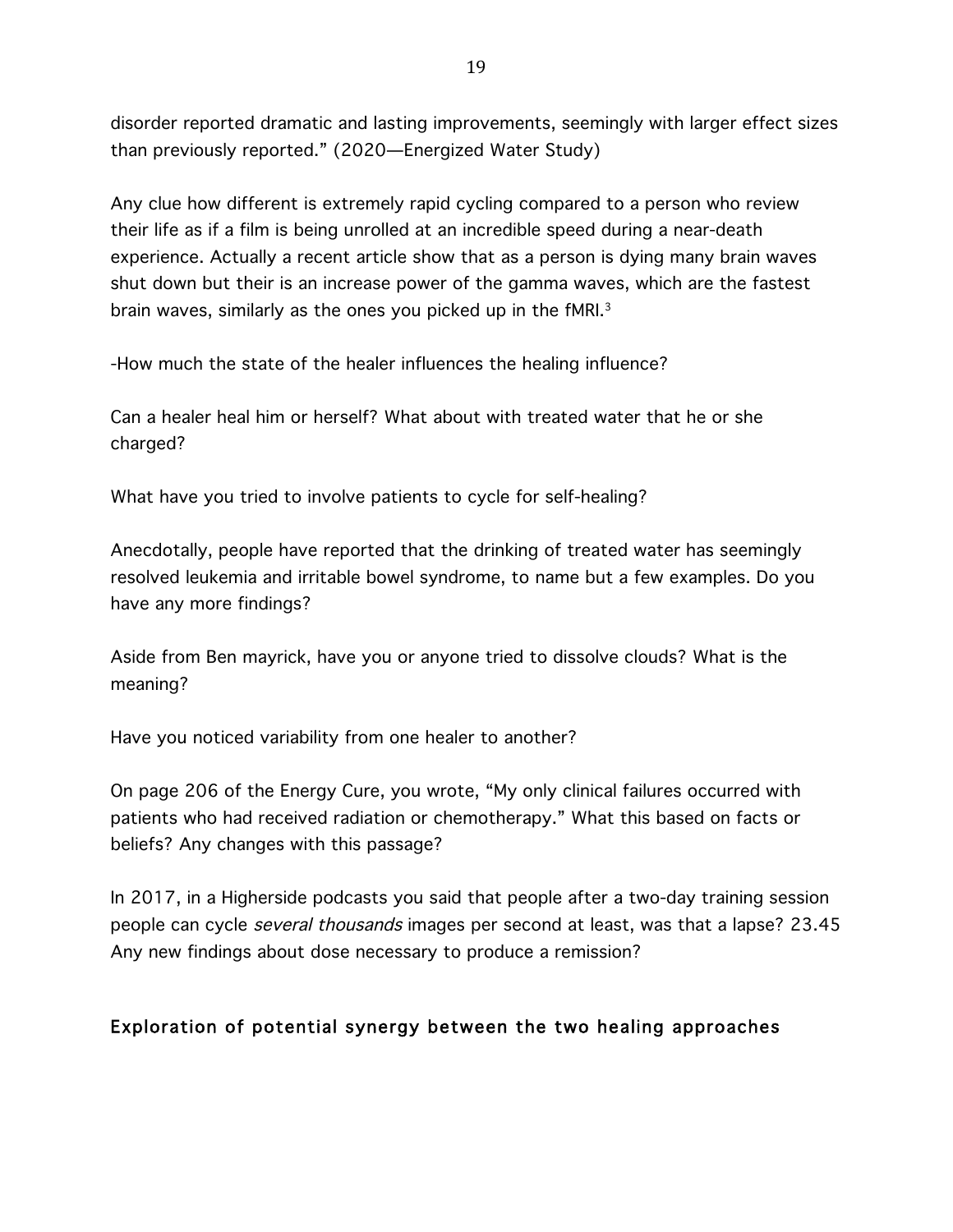disorder reported dramatic and lasting improvements, seemingly with larger effect sizes than previously reported." (2020—Energized Water Study)

Any clue how different is extremely rapid cycling compared to a person who review their life as if a film is being unrolled at an incredible speed during a near-death experience. Actually a recent article show that as a person is dying many brain waves shut down but their is an increase power of the gamma waves, which are the fastest brain waves, similarly as the ones you picked up in the fMRI.3

-How much the state of the healer influences the healing influence?

Can a healer heal him or herself? What about with treated water that he or she charged?

What have you tried to involve patients to cycle for self-healing?

Anecdotally, people have reported that the drinking of treated water has seemingly resolved leukemia and irritable bowel syndrome, to name but a few examples. Do you have any more findings?

Aside from Ben mayrick, have you or anyone tried to dissolve clouds? What is the meaning?

Have you noticed variability from one healer to another?

On page 206 of the Energy Cure, you wrote, "My only clinical failures occurred with patients who had received radiation or chemotherapy." What this based on facts or beliefs? Any changes with this passage?

In 2017, in a Higherside podcasts you said that people after a two-day training session people can cycle *several thousands* images per second at least, was that a lapse? 23.45 Any new findings about dose necessary to produce a remission?

# Exploration of potential synergy between the two healing approaches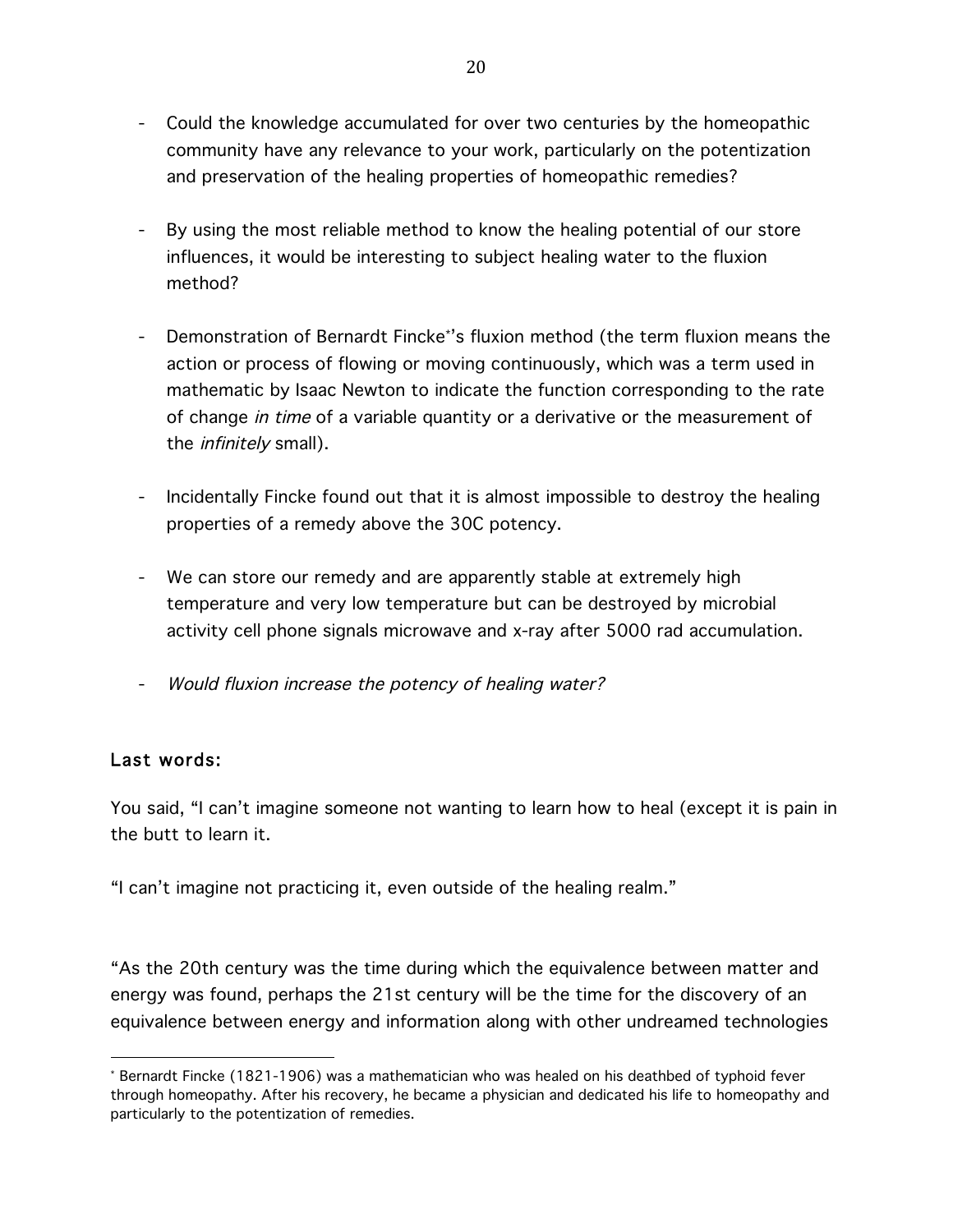- Could the knowledge accumulated for over two centuries by the homeopathic community have any relevance to your work, particularly on the potentization and preservation of the healing properties of homeopathic remedies?
- By using the most reliable method to know the healing potential of our store influences, it would be interesting to subject healing water to the fluxion method?
- Demonstration of Bernardt Fincke\*'s fluxion method (the term fluxion means the action or process of flowing or moving continuously, which was a term used in mathematic by Isaac Newton to indicate the function corresponding to the rate of change in time of a variable quantity or a derivative or the measurement of the infinitely small).
- Incidentally Fincke found out that it is almost impossible to destroy the healing properties of a remedy above the 30C potency.
- We can store our remedy and are apparently stable at extremely high temperature and very low temperature but can be destroyed by microbial activity cell phone signals microwave and x-ray after 5000 rad accumulation.
- Would fluxion increase the potency of healing water?

### Last words:

 

You said, "I can't imagine someone not wanting to learn how to heal (except it is pain in the butt to learn it.

"I can't imagine not practicing it, even outside of the healing realm."

"As the 20th century was the time during which the equivalence between matter and energy was found, perhaps the 21st century will be the time for the discovery of an equivalence between energy and information along with other undreamed technologies

<sup>\*</sup> Bernardt Fincke (1821-1906) was a mathematician who was healed on his deathbed of typhoid fever through homeopathy. After his recovery, he became a physician and dedicated his life to homeopathy and particularly to the potentization of remedies.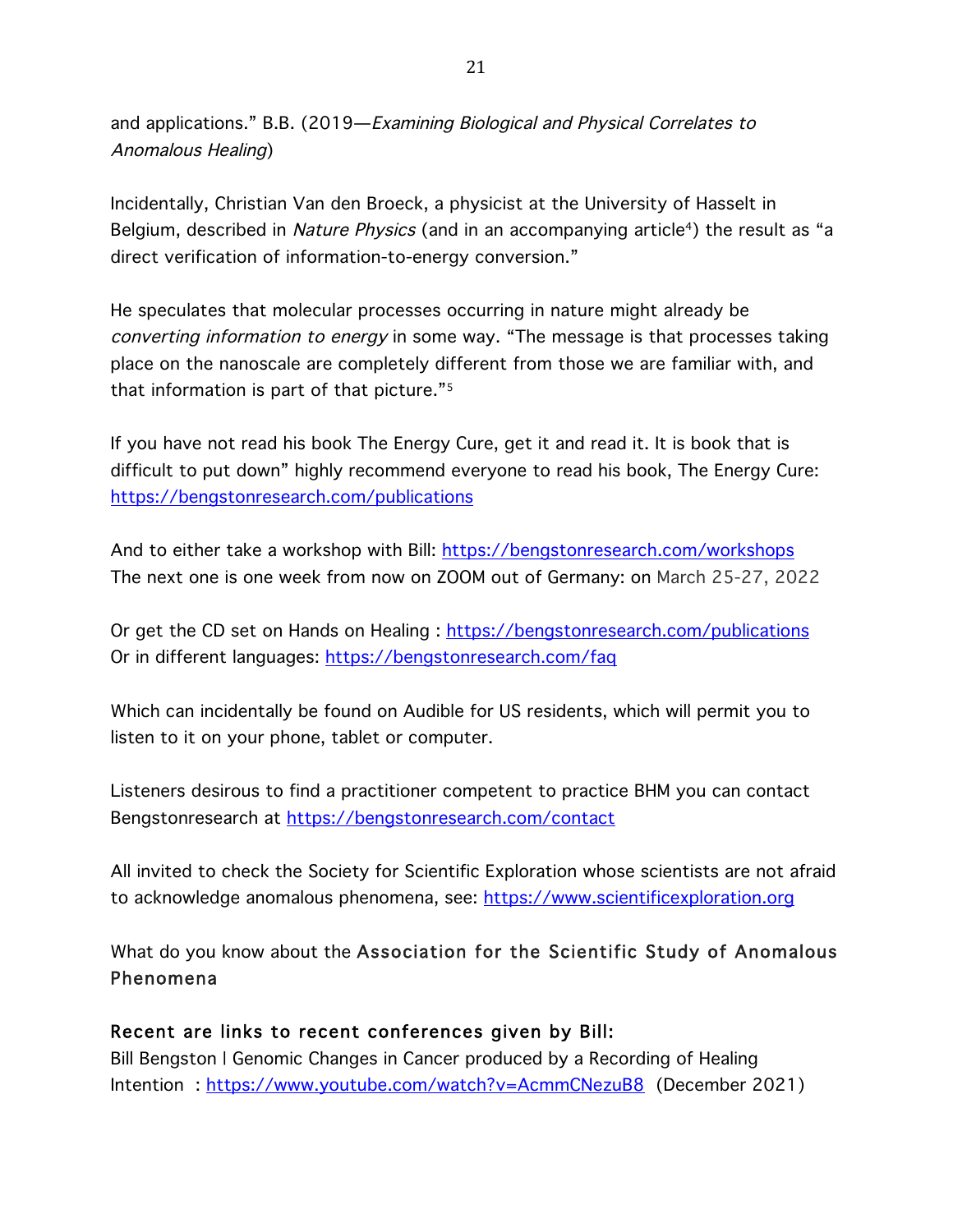and applications." B.B. (2019—Examining Biological and Physical Correlates to Anomalous Healing)

Incidentally, Christian Van den Broeck, a physicist at the University of Hasselt in Belgium, described in Nature Physics (and in an accompanying article<sup>4</sup>) the result as "a direct verification of information-to-energy conversion."

He speculates that molecular processes occurring in nature might already be converting information to energy in some way. "The message is that processes taking place on the nanoscale are completely different from those we are familiar with, and that information is part of that picture."5

If you have not read his book The Energy Cure, get it and read it. It is book that is difficult to put down" highly recommend everyone to read his book, The Energy Cure: https://bengstonresearch.com/publications

And to either take a workshop with Bill: https://bengstonresearch.com/workshops The next one is one week from now on ZOOM out of Germany: on March 25-27, 2022

Or get the CD set on Hands on Healing : https://bengstonresearch.com/publications Or in different languages: https://bengstonresearch.com/faq

Which can incidentally be found on Audible for US residents, which will permit you to listen to it on your phone, tablet or computer.

Listeners desirous to find a practitioner competent to practice BHM you can contact Bengstonresearch at https://bengstonresearch.com/contact

All invited to check the Society for Scientific Exploration whose scientists are not afraid to acknowledge anomalous phenomena, see: https://www.scientificexploration.org

What do you know about the Association for the Scientific Study of Anomalous Phenomena

### Recent are links to recent conferences given by Bill:

Bill Bengston | Genomic Changes in Cancer produced by a Recording of Healing Intention : https://www.youtube.com/watch?v=AcmmCNezuB8 (December 2021)